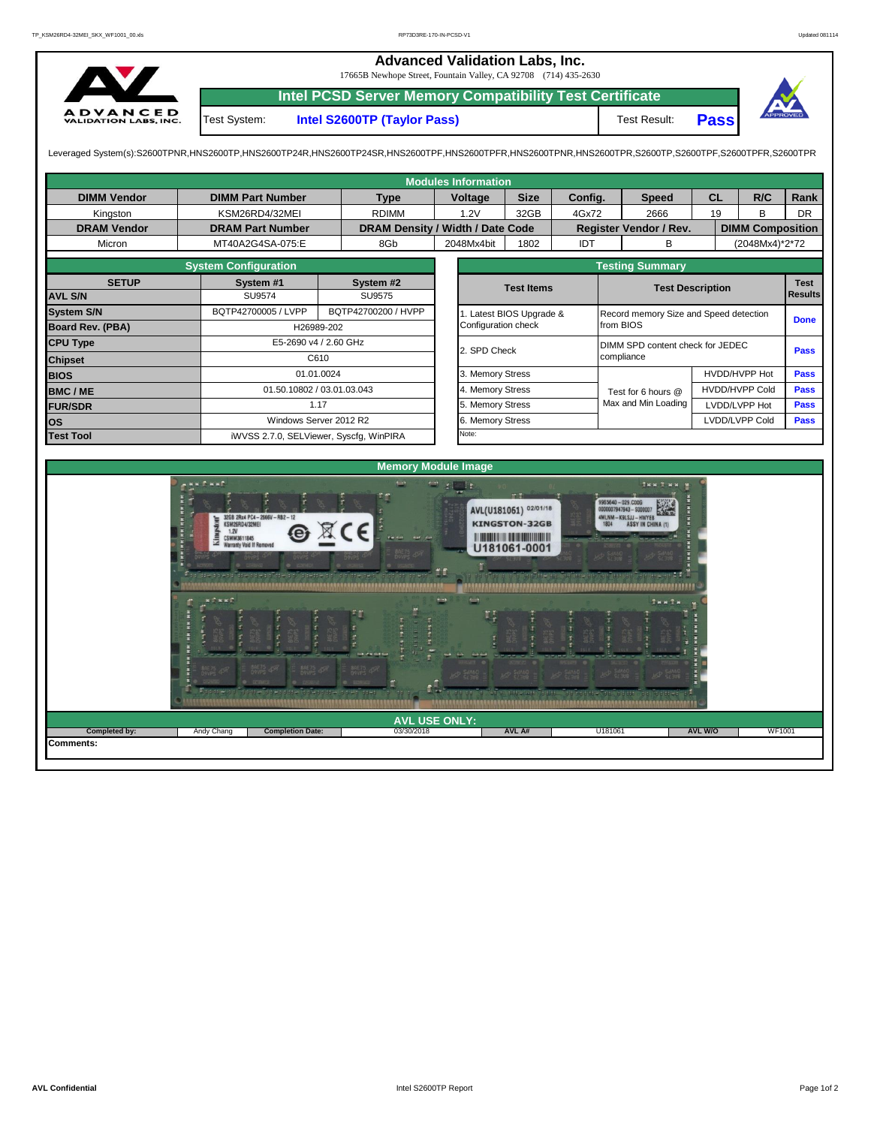**Advanced Validation Labs, Inc.**  17665B Newhope Street, Fountain Valley, CA 92708 (714) 435-2630 **Intel PCSD Server Memory Compatibility Test Certificate** A D V A N C E D<br>VALIDATION LABS, INC. Test System: **Intel S2600TP (Taylor Pass)** Test Result: **Pass** Leveraged System(s):S2600TPNR,HNS2600TP,HNS2600TP24R,HNS2600TP24SR,HNS2600TPF,HNS2600TPRR,HNS2600TPR,S2600TPR,S2600TPR,S2600TPR,S2600TPR,S2600TPFR,S2600TPFR,S2600TPR

|                         |                             |                                         |                     | <b>Modules Information</b> |                       |         |                                          |           |                         |             |  |  |
|-------------------------|-----------------------------|-----------------------------------------|---------------------|----------------------------|-----------------------|---------|------------------------------------------|-----------|-------------------------|-------------|--|--|
| <b>DIMM Vendor</b>      | <b>DIMM Part Number</b>     | <b>Type</b>                             | Voltage             |                            | <b>Size</b>           | Config. | <b>Speed</b>                             | <b>CL</b> | R/C                     | Rank        |  |  |
| Kingston                | KSM26RD4/32MEI              | <b>RDIMM</b>                            |                     | 1.2V                       | 32GB                  | 4Gx72   | 2666                                     | 19        | B                       | <b>DR</b>   |  |  |
| <b>DRAM Vendor</b>      | <b>DRAM Part Number</b>     | DRAM Density / Width / Date Code        |                     |                            |                       |         | Register Vendor / Rev.                   |           | <b>DIMM Composition</b> |             |  |  |
| Micron                  | MT40A2G4SA-075:E            | 8Gb                                     | 2048Mx4bit          |                            | 1802                  | IDT     | в                                        |           | (2048Mx4)*2*72          |             |  |  |
|                         | <b>System Configuration</b> |                                         |                     |                            |                       |         | <b>Testing Summary</b>                   |           |                         |             |  |  |
| <b>SETUP</b>            | System #1                   | System #2                               |                     |                            | <b>Test Items</b>     |         | <b>Test Description</b>                  |           | <b>Test</b>             |             |  |  |
| <b>AVL S/N</b>          | SU9574                      | SU9575                                  |                     |                            |                       |         |                                          |           | <b>Results</b>          |             |  |  |
| <b>System S/N</b>       | BQTP42700005 / LVPP         | BQTP42700200 / HVPP                     |                     |                            | Latest BIOS Upgrade & |         | Record memory Size and Speed detection   |           | <b>Done</b>             |             |  |  |
| <b>Board Rev. (PBA)</b> |                             | H26989-202                              | Configuration check |                            |                       |         | from BIOS                                |           |                         |             |  |  |
| <b>CPU Type</b>         |                             | E5-2690 v4 / 2.60 GHz                   |                     | 2. SPD Check               |                       |         | DIMM SPD content check for JEDEC<br>Pass |           |                         |             |  |  |
| <b>Chipset</b>          | C610                        |                                         |                     |                            |                       |         | compliance                               |           |                         |             |  |  |
| <b>BIOS</b>             |                             | 01.01.0024                              |                     | 3. Memory Stress           |                       |         |                                          |           | HVDD/HVPP Hot           |             |  |  |
| <b>BMC/ME</b>           |                             | 01.50.10802 / 03.01.03.043              |                     | 4. Memory Stress           |                       |         | Test for 6 hours @                       |           | <b>HVDD/HVPP Cold</b>   |             |  |  |
| <b>FUR/SDR</b>          |                             | 1.17                                    |                     | 5. Memory Stress           |                       |         | Max and Min Loading                      |           | LVDD/LVPP Hot           | <b>Pass</b> |  |  |
| <b>los</b>              |                             | Windows Server 2012 R2                  |                     | 6. Memory Stress           |                       |         |                                          |           | LVDD/LVPP Cold          | <b>Pass</b> |  |  |
| <b>Test Tool</b>        |                             | iWVSS 2.7.0, SELViewer, Syscfq, WinPIRA | Note:               |                            |                       |         |                                          |           |                         |             |  |  |
|                         |                             |                                         |                     |                            |                       |         |                                          |           |                         |             |  |  |